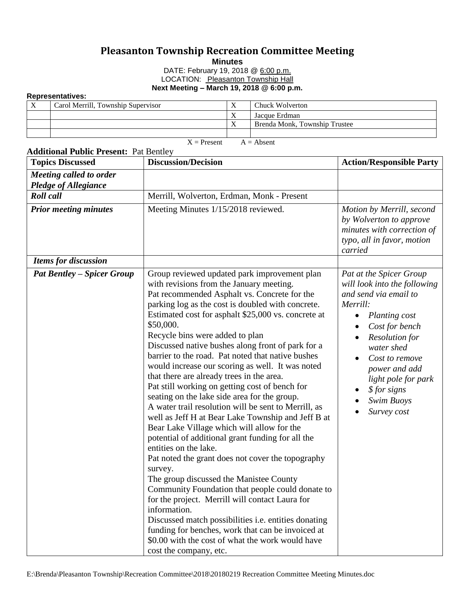## **Pleasanton Township Recreation Committee Meeting**

**Minutes**

DATE: February 19, 2018 @ 6:00 p.m. LOCATION: Pleasanton Township Hall **Next Meeting – March 19, 2018 @ 6:00 p.m.**

## **Representatives:**

|  | Carol Merrill, Township Supervisor |  | Chuck Wolverton               |  |  |  |
|--|------------------------------------|--|-------------------------------|--|--|--|
|  |                                    |  | Jacque Erdman                 |  |  |  |
|  |                                    |  | Brenda Monk, Township Trustee |  |  |  |
|  |                                    |  |                               |  |  |  |

 $X =$  Present  $A =$  Absent

| <b>Topics Discussed</b>                                | <b>Discussion/Decision</b>                                                                                                                                                                                                                                                                                                                                                                                                                                                                                                                                                                                                                                                                                                                                                                                                                                                                                                                                                                                                                                                                                                                                                                                                                                                               | <b>Action/Responsible Party</b>                                                                                                                                                                                                                                               |
|--------------------------------------------------------|------------------------------------------------------------------------------------------------------------------------------------------------------------------------------------------------------------------------------------------------------------------------------------------------------------------------------------------------------------------------------------------------------------------------------------------------------------------------------------------------------------------------------------------------------------------------------------------------------------------------------------------------------------------------------------------------------------------------------------------------------------------------------------------------------------------------------------------------------------------------------------------------------------------------------------------------------------------------------------------------------------------------------------------------------------------------------------------------------------------------------------------------------------------------------------------------------------------------------------------------------------------------------------------|-------------------------------------------------------------------------------------------------------------------------------------------------------------------------------------------------------------------------------------------------------------------------------|
| Meeting called to order<br><b>Pledge of Allegiance</b> |                                                                                                                                                                                                                                                                                                                                                                                                                                                                                                                                                                                                                                                                                                                                                                                                                                                                                                                                                                                                                                                                                                                                                                                                                                                                                          |                                                                                                                                                                                                                                                                               |
| <b>Roll</b> call                                       | Merrill, Wolverton, Erdman, Monk - Present                                                                                                                                                                                                                                                                                                                                                                                                                                                                                                                                                                                                                                                                                                                                                                                                                                                                                                                                                                                                                                                                                                                                                                                                                                               |                                                                                                                                                                                                                                                                               |
| <b>Prior meeting minutes</b>                           | Meeting Minutes 1/15/2018 reviewed.                                                                                                                                                                                                                                                                                                                                                                                                                                                                                                                                                                                                                                                                                                                                                                                                                                                                                                                                                                                                                                                                                                                                                                                                                                                      | Motion by Merrill, second<br>by Wolverton to approve<br>minutes with correction of<br>typo, all in favor, motion<br>carried                                                                                                                                                   |
| <b>Items for discussion</b>                            |                                                                                                                                                                                                                                                                                                                                                                                                                                                                                                                                                                                                                                                                                                                                                                                                                                                                                                                                                                                                                                                                                                                                                                                                                                                                                          |                                                                                                                                                                                                                                                                               |
| <b>Pat Bentley – Spicer Group</b>                      | Group reviewed updated park improvement plan<br>with revisions from the January meeting.<br>Pat recommended Asphalt vs. Concrete for the<br>parking log as the cost is doubled with concrete.<br>Estimated cost for asphalt \$25,000 vs. concrete at<br>\$50,000.<br>Recycle bins were added to plan<br>Discussed native bushes along front of park for a<br>barrier to the road. Pat noted that native bushes<br>would increase our scoring as well. It was noted<br>that there are already trees in the area.<br>Pat still working on getting cost of bench for<br>seating on the lake side area for the group.<br>A water trail resolution will be sent to Merrill, as<br>well as Jeff H at Bear Lake Township and Jeff B at<br>Bear Lake Village which will allow for the<br>potential of additional grant funding for all the<br>entities on the lake.<br>Pat noted the grant does not cover the topography<br>survey.<br>The group discussed the Manistee County<br>Community Foundation that people could donate to<br>for the project. Merrill will contact Laura for<br>information.<br>Discussed match possibilities i.e. entities donating<br>funding for benches, work that can be invoiced at<br>\$0.00 with the cost of what the work would have<br>cost the company, etc. | Pat at the Spicer Group<br>will look into the following<br>and send via email to<br>Merrill:<br>Planting cost<br>Cost for bench<br><b>Resolution</b> for<br>water shed<br>Cost to remove<br>power and add<br>light pole for park<br>\$ for signs<br>Swim Buoys<br>Survey cost |

## **Additional Public Present:** Pat Bentley